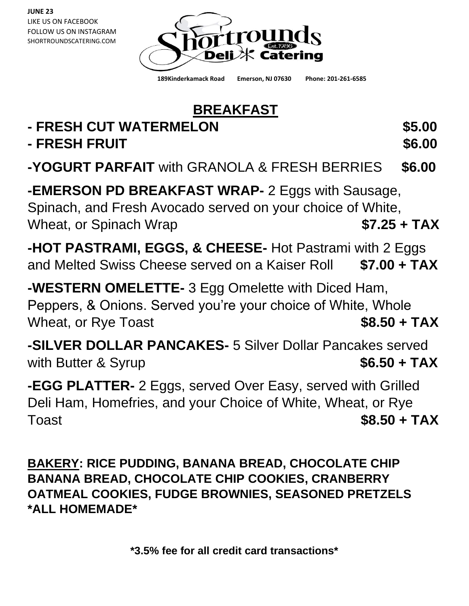**JUNE 23** LIKE US ON FACEBOOK FOLLOW US ON INSTAGRAM SHORTROUNDSCATERING.COM



# **BREAKFAST**

**- FRESH CUT WATERMELON \$5.00** 

**- FRESH FRUIT \$6.00** 

**-YOGURT PARFAIT** with GRANOLA & FRESH BERRIES **\$6.00** 

**-EMERSON PD BREAKFAST WRAP-** 2 Eggs with Sausage, Spinach, and Fresh Avocado served on your choice of White, Wheat, or Spinach Wrap **67.25 + TAX** 

**-HOT PASTRAMI, EGGS, & CHEESE-** Hot Pastrami with 2 Eggs and Melted Swiss Cheese served on a Kaiser Roll **\$7.00 + TAX**

**-WESTERN OMELETTE-** 3 Egg Omelette with Diced Ham, Peppers, & Onions. Served you're your choice of White, Whole Wheat, or Rye Toast **\$8.50 + TAX** 

**-SILVER DOLLAR PANCAKES-** 5 Silver Dollar Pancakes served with Butter & Syrup **\$6.50 + TAX** 

**-EGG PLATTER-** 2 Eggs, served Over Easy, served with Grilled Deli Ham, Homefries, and your Choice of White, Wheat, or Rye Toast **\$8.50 + TAX** 

**BAKERY: RICE PUDDING, BANANA BREAD, CHOCOLATE CHIP BANANA BREAD, CHOCOLATE CHIP COOKIES, CRANBERRY OATMEAL COOKIES, FUDGE BROWNIES, SEASONED PRETZELS \*ALL HOMEMADE\***

**\*3.5% fee for all credit card transactions\***